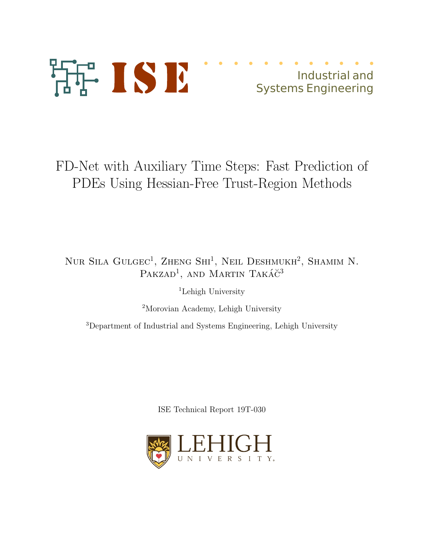

# Industrial and Systems Engineering

FD-Net with Auxiliary Time Steps: Fast Prediction of PDEs Using Hessian-Free Trust-Region Methods

# NUR SILA GULGEC<sup>1</sup>, ZHENG SHI<sup>1</sup>, NEIL DESHMUKH<sup>2</sup>, SHAMIM N. PAKZAD<sup>1</sup>, AND MARTIN TAKÁČ<sup>3</sup>

<sup>1</sup>Lehigh University

<sup>2</sup>Morovian Academy, Lehigh University

<sup>3</sup>Department of Industrial and Systems Engineering, Lehigh University

ISE Technical Report 19T-030

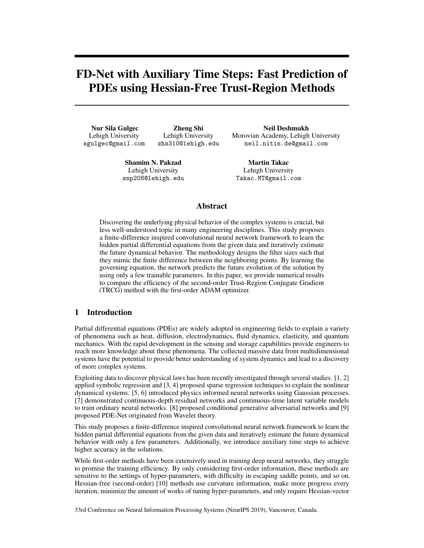# FD-Net with Auxiliary Time Steps: Fast Prediction of PDEs using Hessian-Free Trust-Region Methods

Nur Sila Gulgec Lehigh University sgulgec@gmail.com

Zheng Shi Lehigh University zhs310@lehigh.edu

Neil Deshmukh Morovian Academy, Lehigh University neil.nitin.de@gmail.com

Shamim N. Pakzad Lehigh University snp208@lehigh.edu

Martin Takac Lehigh University Takac.MT@gmail.com

## Abstract

Discovering the underlying physical behavior of the complex systems is crucial, but less well-understood topic in many engineering disciplines. This study proposes a finite-difference inspired convolutional neural network framework to learn the hidden partial differential equations from the given data and iteratively estimate the future dynamical behavior. The methodology designs the filter sizes such that they mimic the finite difference between the neighboring points. By learning the governing equation, the network predicts the future evolution of the solution by using only a few trainable parameters. In this paper, we provide numerical results to compare the efficiency of the second-order Trust-Region Conjugate Gradient (TRCG) method with the first-order ADAM optimizer.

## 1 Introduction

Partial differential equations (PDEs) are widely adopted in engineering fields to explain a variety of phenomena such as heat, diffusion, electrodynamics, fluid dynamics, elasticity, and quantum mechanics. With the rapid development in the sensing and storage capabilities provide engineers to reach more knowledge about these phenomena. The collected massive data from multidimensional systems have the potential to provide better understanding of system dynamics and lead to a discovery of more complex systems.

Exploiting data to discover physical laws has been recently investigated through several studies. [1, 2] applied symbolic regression and [3, 4] proposed sparse regression techniques to explain the nonlinear dynamical systems. [5, 6] introduced physics informed neural networks using Gaussian processes. [7] demonstrated continuous-depth residual networks and continuous-time latent variable models to train ordinary neural networks. [8] proposed conditional generative adversarial networks and [9] proposed PDE-Net originated from Wavelet theory.

This study proposes a finite-difference inspired convolutional neural network framework to learn the hidden partial differential equations from the given data and iteratively estimate the future dynamical behavior with only a few parameters. Additionally, we introduce auxiliary time steps to achieve higher accuracy in the solutions.

While first-order methods have been extensively used in training deep neural networks, they struggle to promise the training efficiency. By only considering first-order information, these methods are sensitive to the settings of hyper-parameters, with difficulty in escaping saddle points, and so on. Hessian-free (second-order) [10] methods use curvature information, make more progress every iteration, minimize the amount of works of tuning hyper-parameters, and only require Hessian-vector

33rd Conference on Neural Information Processing Systems (NeurIPS 2019), Vancouver, Canada.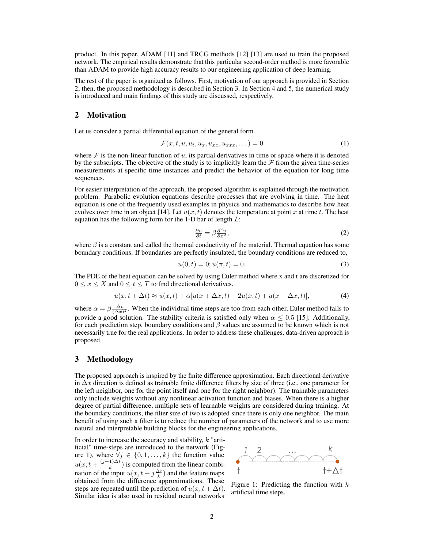product. In this paper, ADAM [11] and TRCG methods [12] [13] are used to train the proposed network. The empirical results demonstrate that this particular second-order method is more favorable than ADAM to provide high accuracy results to our engineering application of deep learning.

The rest of the paper is organized as follows. First, motivation of our approach is provided in Section 2; then, the proposed methodology is described in Section 3. In Section 4 and 5, the numerical study is introduced and main findings of this study are discussed, respectively.

#### 2 Motivation

Let us consider a partial differential equation of the general form

$$
\mathcal{F}(x,t,u,u_t,u_x,u_{xx},u_{xxx},\dots) = 0 \tag{1}
$$

where  $\mathcal F$  is the non-linear function of u, its partial derivatives in time or space where it is denoted by the subscripts. The objective of the study is to implicitly learn the  $\mathcal F$  from the given time-series measurements at specific time instances and predict the behavior of the equation for long time sequences.

For easier interpretation of the approach, the proposed algorithm is explained through the motivation problem. Parabolic evolution equations describe processes that are evolving in time. The heat equation is one of the frequently used examples in physics and mathematics to describe how heat evolves over time in an object [14]. Let  $u(x, t)$  denotes the temperature at point x at time t. The heat equation has the following form for the 1-D bar of length  $L$ :

$$
\frac{\partial u}{\partial t} = \beta \frac{\partial^2 u}{\partial x^2},\tag{2}
$$

where  $\beta$  is a constant and called the thermal conductivity of the material. Thermal equation has some boundary conditions. If boundaries are perfectly insulated, the boundary conditions are reduced to,

$$
u(0,t) = 0; u(\pi, t) = 0.
$$
\n(3)

The PDE of the heat equation can be solved by using Euler method where x and t are discretized for  $0 \le x \le X$  and  $0 \le t \le T$  to find directional derivatives.

$$
u(x, t + \Delta t) \approx u(x, t) + \alpha [u(x + \Delta x, t) - 2u(x, t) + u(x - \Delta x, t)],
$$
\n(4)

where  $\alpha = \beta \frac{\Delta t}{(\Delta x)^2}$ . When the individual time steps are too from each other, Euler method fails to provide a good solution. The stability criteria is satisfied only when  $\alpha \leq 0.5$  [15]. Additionally, for each prediction step, boundary conditions and  $\beta$  values are assumed to be known which is not necessarily true for the real applications. In order to address these challenges, data-driven approach is proposed.

#### 3 Methodology

The proposed approach is inspired by the finite difference approximation. Each directional derivative in  $\Delta x$  direction is defined as trainable finite difference filters by size of three (i.e., one parameter for the left neighbor, one for the point itself and one for the right neighbor). The trainable parameters only include weights without any nonlinear activation function and biases. When there is a higher degree of partial difference, multiple sets of learnable weights are considered during training. At the boundary conditions, the filter size of two is adopted since there is only one neighbor. The main benefit of using such a filter is to reduce the number of parameters of the network and to use more natural and interpretable building blocks for the engineering applications.

In order to increase the accuracy and stability, k "artificial" time-steps are introduced to the network (Figure 1), where  $\forall j \in \{0, 1, \ldots, k\}$  the function value  $u(x, t + \frac{(j+1)\Delta t}{k})$  $\frac{1}{k}$ ) is computed from the linear combination of the input  $u(x, t + j\frac{\Delta t}{k})$  and the feature maps obtained from the difference approximations. These steps are repeated until the prediction of  $u(x, t + \Delta t)$ . Similar idea is also used in residual neural networks



Figure 1: Predicting the function with  $k$ artificial time steps.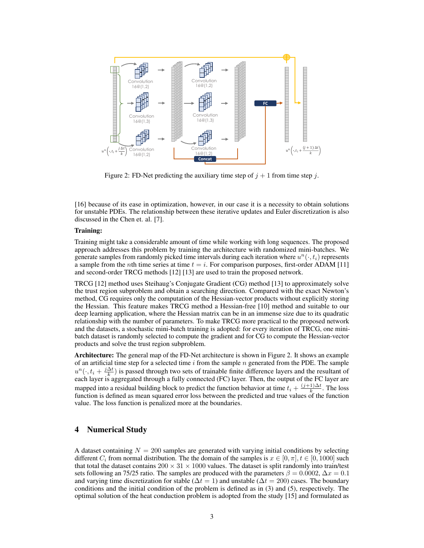

Figure 2: FD-Net predicting the auxiliary time step of  $j + 1$  from time step j.

[16] because of its ease in optimization, however, in our case it is a necessity to obtain solutions for unstable PDEs. The relationship between these iterative updates and Euler discretization is also discussed in the Chen et. al. [7].

#### Training:

Training might take a considerable amount of time while working with long sequences. The proposed approach addresses this problem by training the architecture with randomized mini-batches. We generate samples from randomly picked time intervals during each iteration where  $u^n(\cdot, t_i)$  represents a sample from the *n*th time series at time  $t = i$ . For comparison purposes, first-order ADAM [11] and second-order TRCG methods [12] [13] are used to train the proposed network.

TRCG [12] method uses Steihaug's Conjugate Gradient (CG) method [13] to approximately solve the trust region subproblem and obtain a searching direction. Compared with the exact Newton's method, CG requires only the computation of the Hessian-vector products without explicitly storing the Hessian. This feature makes TRCG method a Hessian-free [10] method and suitable to our deep learning application, where the Hessian matrix can be in an immense size due to its quadratic relationship with the number of parameters. To make TRCG more practical to the proposed network and the datasets, a stochastic mini-batch training is adopted: for every iteration of TRCG, one minibatch dataset is randomly selected to compute the gradient and for CG to compute the Hessian-vector products and solve the trust region subproblem.

Architecture: The general map of the FD-Net architecture is shown in Figure 2. It shows an example of an artificial time step for a selected time  $i$  from the sample n generated from the PDE. The sample  $u^n(\cdot, t_i + \frac{j\Delta t}{k})$  is passed through two sets of trainable finite difference layers and the resultant of each layer is aggregated through a fully connected (FC) layer. Then, the output of the FC layer are mapped into a residual building block to predict the function behavior at time  $t_i + \frac{(j+1)\Delta t}{k}$  $\frac{1}{k}$ . The loss function is defined as mean squared error loss between the predicted and true values  $\hat{f}$  the function value. The loss function is penalized more at the boundaries.

# 4 Numerical Study

A dataset containing  $N = 200$  samples are generated with varying initial conditions by selecting different  $C_i$  from normal distribution. The the domain of the samples is  $x \in [0, \pi]$ ,  $t \in [0, 1000]$  such that total the dataset contains  $200 \times 31 \times 1000$  values. The dataset is split randomly into train/test sets following an 75/25 ratio. The samples are produced with the parameters  $\beta = 0.0002$ ,  $\Delta x = 0.1$ and varying time discretization for stable ( $\Delta t = 1$ ) and unstable ( $\Delta t = 200$ ) cases. The boundary conditions and the initial condition of the problem is defined as in (3) and (5), respectively. The optimal solution of the heat conduction problem is adopted from the study [15] and formulated as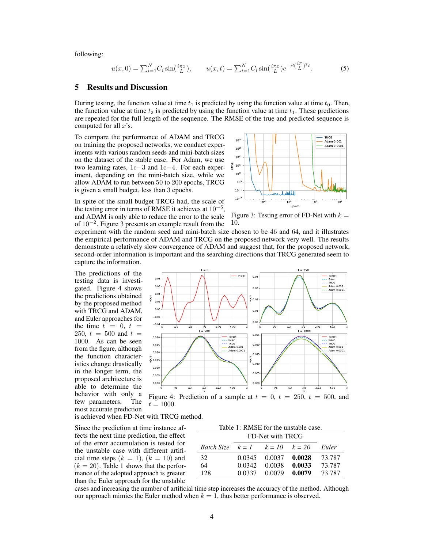following:

$$
u(x,0) = \sum_{i=1}^{N} C_i \sin(\frac{i\pi x}{L}), \qquad u(x,t) = \sum_{i=1}^{N} C_i \sin(\frac{i\pi x}{L}) e^{-\beta(\frac{i\pi}{L})^2 t}.
$$
 (5)

### 5 Results and Discussion

During testing, the function value at time  $t_1$  is predicted by using the function value at time  $t_0$ . Then, the function value at time  $t_2$  is predicted by using the function value at time  $t_1$ . These predictions are repeated for the full length of the sequence. The RMSE of the true and predicted sequence is computed for all  $x$ 's.

To compare the performance of ADAM and TRCG on training the proposed networks, we conduct experiments with various random seeds and mini-batch sizes on the dataset of the stable case. For Adam, we use two learning rates, 1e−3 and 1e−4. For each experiment, depending on the mini-batch size, while we allow ADAM to run between 50 to 200 epochs, TRCG is given a small budget, less than 3 epochs.



In spite of the small budget TRCG had, the scale of the testing error in terms of RMSE it achieves at  $10^{-5}$ , and ADAM is only able to reduce the error to the scale of  $10^{-2}$ . Figure 3 presents an example result from the

Figure 3: Testing error of FD-Net with  $k =$ 10.

experiment with the random seed and mini-batch size chosen to be 46 and 64, and it illustrates the empirical performance of ADAM and TRCG on the proposed network very well. The results demonstrate a relatively slow convergence of ADAM and suggest that, for the proposed network, second-order information is important and the searching directions that TRCG generated seem to capture the information.

The predictions of the testing data is investigated. Figure 4 shows the predictions obtained by the proposed method with TRCG and ADAM, and Euler approaches for the time  $t = 0, t =$ 250,  $t = 500$  and  $t =$ 1000. As can be seen from the figure, although the function characteristics change drastically in the longer term, the proposed architecture is able to determine the behavior with only a few parameters. The most accurate prediction



Figure 4: Prediction of a sample at  $t = 0$ ,  $t = 250$ ,  $t = 500$ , and  $t = 1000$ .

is achieved when FD-Net with TRCG method.

Since the prediction at time instance affects the next time prediction, the effect of the error accumulation is tested for the unstable case with different artificial time steps  $(k = 1)$ ,  $(k = 10)$  and  $(k = 20)$ . Table 1 shows that the performance of the adopted approach is greater than the Euler approach for the unstable

| Table 1: RMSE for the unstable case.        |        |        |        |        |
|---------------------------------------------|--------|--------|--------|--------|
| FD-Net with TRCG                            |        |        |        |        |
| <b>Batch Size</b> $k = 1$ $k = 10$ $k = 20$ |        |        |        | Euler  |
| 32                                          | 0.0345 | 0.0037 | 0.0028 | 73.787 |
| 64                                          | 0.0342 | 0.0038 | 0.0033 | 73.787 |
| 128                                         | 0.0337 | 0.0079 | 0.0079 | 73.787 |

cases and increasing the number of artificial time step increases the accuracy of the method. Although our approach mimics the Euler method when  $k = 1$ , thus better performance is observed.